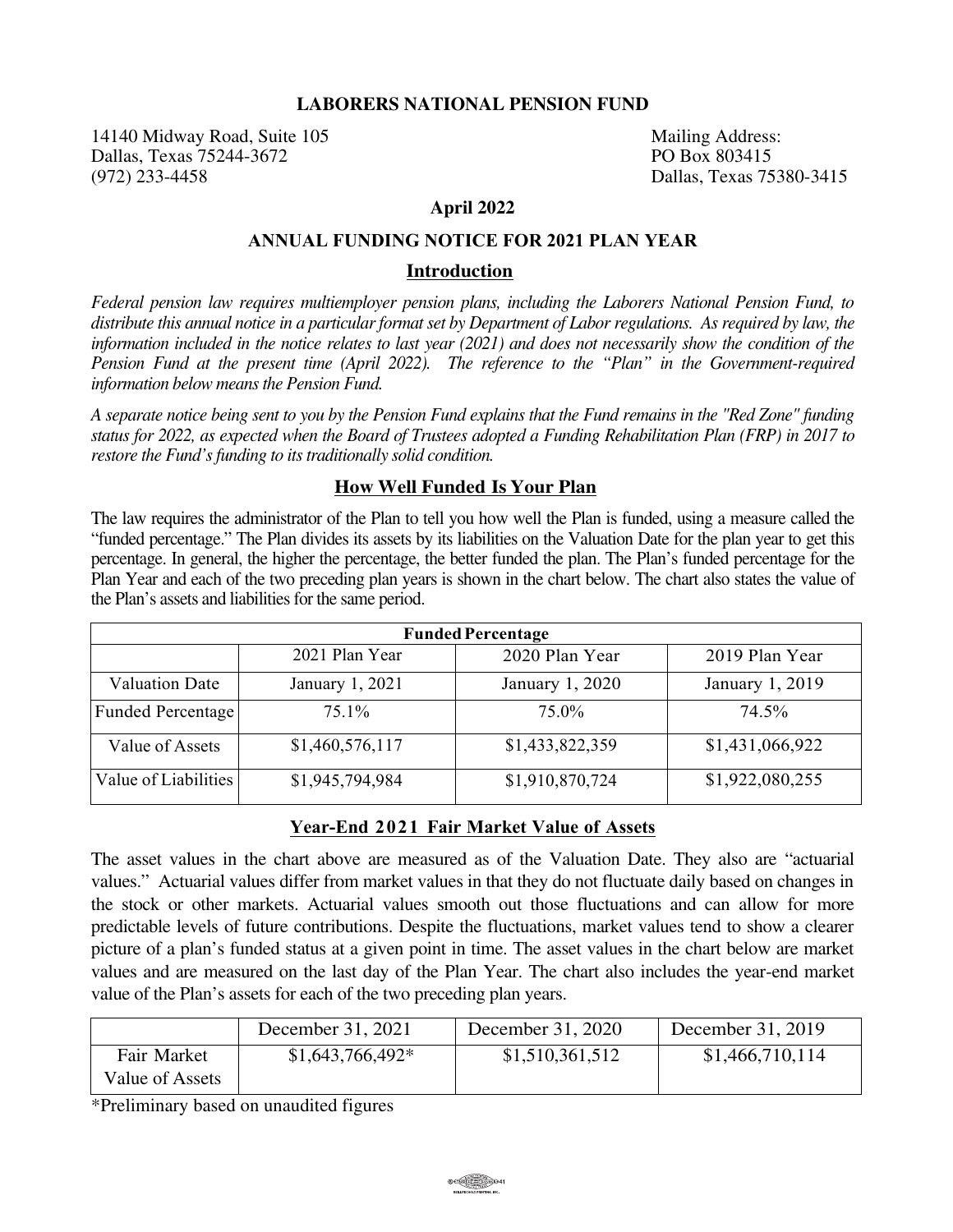### **LABORERS NATIONAL PENSION FUND**

14140 Midway Road, Suite 105<br>
Dallas. Texas 75244-3672<br>
PO Box 803415 Dallas, Texas 75244-3672 (972) 233-4458 Dallas, Texas 75380-3415

### **April 2022**

## **ANNUAL FUNDING NOTICE FOR 2021 PLAN YEAR**

#### **Introduction**

*Federal pension law requires multiemployer pension plans, including the Laborers National Pension Fund, to distribute this annual notice in a particular format set by Department of Labor regulations. As required by law, the information included in the notice relates to last year (2021) and does not necessarily show the condition of the Pension Fund at the present time (April 2022). The reference to the "Plan" in the Government-required information below means the Pension Fund.*

*A separate notice being sent to you by the Pension Fund explains that the Fund remains in the "Red Zone" funding status for 2022, as expected when the Board of Trustees adopted a Funding Rehabilitation Plan (FRP) in 2017 to restore the Fund's funding to its traditionally solid condition.*

### **How Well Funded Is Your Plan**

The law requires the administrator of the Plan to tell you how well the Plan is funded, using a measure called the "funded percentage." The Plan divides its assets by its liabilities on the Valuation Date for the plan year to get this percentage. In general, the higher the percentage, the better funded the plan. The Plan's funded percentage for the Plan Year and each of the two preceding plan years is shown in the chart below. The chart also states the value of the Plan's assets and liabilities for the same period.

| <b>Funded Percentage</b> |                 |                 |                 |  |  |
|--------------------------|-----------------|-----------------|-----------------|--|--|
|                          | 2021 Plan Year  | 2020 Plan Year  | 2019 Plan Year  |  |  |
| <b>Valuation Date</b>    | January 1, 2021 | January 1, 2020 | January 1, 2019 |  |  |
| Funded Percentage        | $75.1\%$        | 75.0%           | 74.5%           |  |  |
| Value of Assets          | \$1,460,576,117 | \$1,433,822,359 | \$1,431,066,922 |  |  |
| Value of Liabilities     | \$1,945,794,984 | \$1,910,870,724 | \$1,922,080,255 |  |  |

### **Year-End 2021 Fair Market Value of Assets**

The asset values in the chart above are measured as of the Valuation Date. They also are "actuarial values." Actuarial values differ from market values in that they do not fluctuate daily based on changes in the stock or other markets. Actuarial values smooth out those fluctuations and can allow for more predictable levels of future contributions. Despite the fluctuations, market values tend to show a clearer picture of a plan's funded status at a given point in time. The asset values in the chart below are market values and are measured on the last day of the Plan Year. The chart also includes the year-end market value of the Plan's assets for each of the two preceding plan years.

|                                | December 31, 2021 | December 31, 2020 | December 31, 2019 |
|--------------------------------|-------------------|-------------------|-------------------|
| Fair Market<br>Value of Assets | $$1,643,766,492*$ | \$1,510,361,512   | \$1,466,710,114   |

\*Preliminary based on unaudited figures

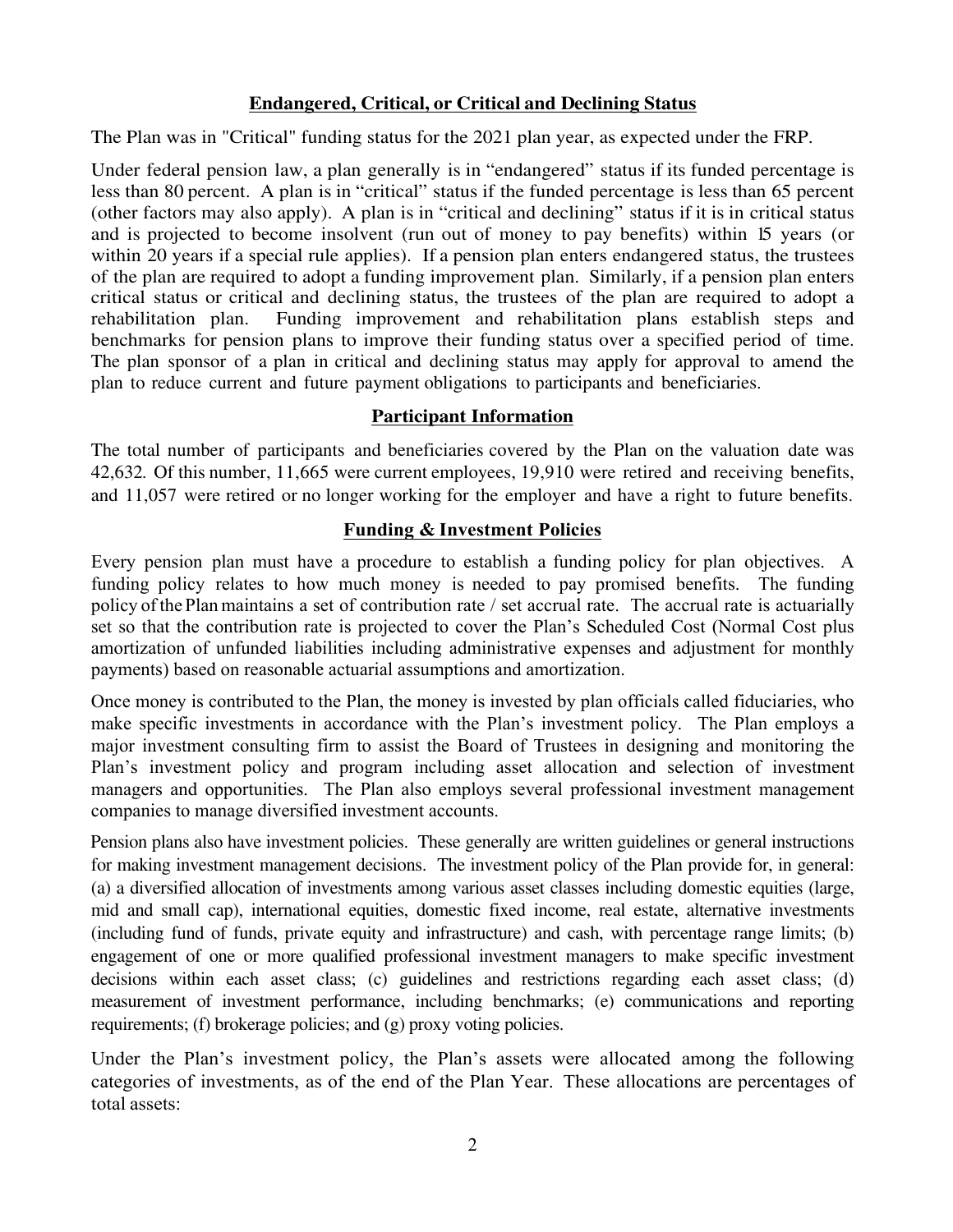# **Endangered, Critical, or Critical and Declining Status**

The Plan was in "Critical" funding status for the 2021 plan year, as expected under the FRP.

Under federal pension law, a plan generally is in "endangered" status if its funded percentage is less than 80 percent. A plan is in "critical" status if the funded percentage is less than 65 percent (other factors may also apply). A plan is in "critical and declining" status if it is in critical status and is projected to become insolvent (run out of money to pay benefits) within 15 years (or within 20 years if a special rule applies). If a pension plan enters endangered status, the trustees of the plan are required to adopt a funding improvement plan. Similarly, if a pension plan enters critical status or critical and declining status, the trustees of the plan are required to adopt a rehabilitation plan. Funding improvement and rehabilitation plans establish steps and benchmarks for pension plans to improve their funding status over a specified period of time. The plan sponsor of a plan in critical and declining status may apply for approval to amend the plan to reduce current and future payment obligations to participants and beneficiaries.

# **Participant Information**

The total number of participants and beneficiaries covered by the Plan on the valuation date was 42,632*.* Of this number, 11,665 were current employees, 19,910 were retired and receiving benefits, and 11,057 were retired or no longer working for the employer and have a right to future benefits.

# **Funding & Investment Policies**

Every pension plan must have a procedure to establish a funding policy for plan objectives. A funding policy relates to how much money is needed to pay promised benefits. The funding policy of the Planmaintains a set of contribution rate / set accrual rate. The accrual rate is actuarially set so that the contribution rate is projected to cover the Plan's Scheduled Cost (Normal Cost plus amortization of unfunded liabilities including administrative expenses and adjustment for monthly payments) based on reasonable actuarial assumptions and amortization.

Once money is contributed to the Plan, the money is invested by plan officials called fiduciaries, who make specific investments in accordance with the Plan's investment policy. The Plan employs a major investment consulting firm to assist the Board of Trustees in designing and monitoring the Plan's investment policy and program including asset allocation and selection of investment managers and opportunities. The Plan also employs several professional investment management companies to manage diversified investment accounts.

Pension plans also have investment policies. These generally are written guidelines or general instructions for making investment management decisions. The investment policy of the Plan provide for, in general: (a) a diversified allocation of investments among various asset classes including domestic equities (large, mid and small cap), international equities, domestic fixed income, real estate, alternative investments (including fund of funds, private equity and infrastructure) and cash, with percentage range limits; (b) engagement of one or more qualified professional investment managers to make specific investment decisions within each asset class; (c) guidelines and restrictions regarding each asset class; (d) measurement of investment performance, including benchmarks; (e) communications and reporting requirements; (f) brokerage policies; and (g) proxy voting policies.

Under the Plan's investment policy, the Plan's assets were allocated among the following categories of investments, as of the end of the Plan Year. These allocations are percentages of total assets: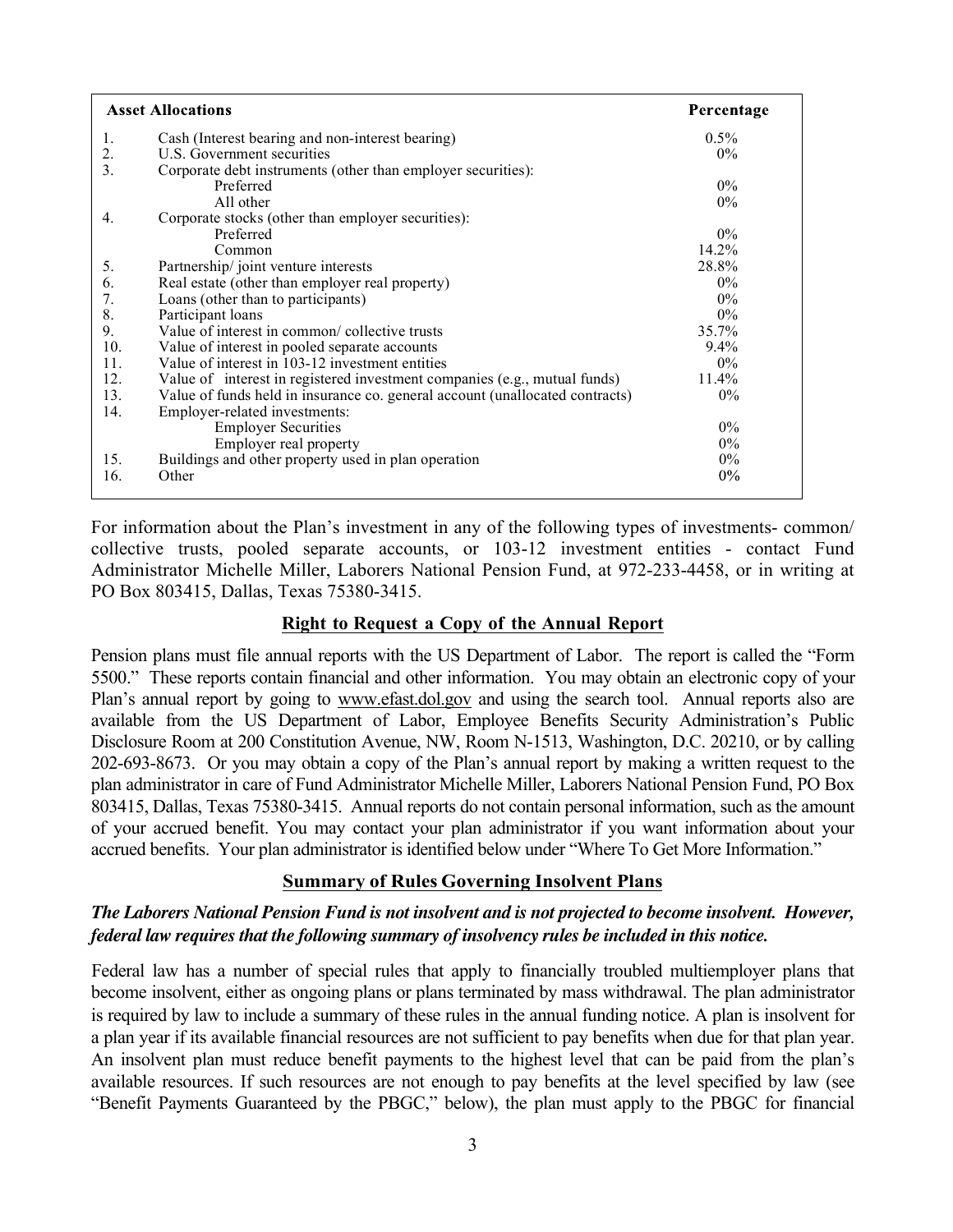| <b>Asset Allocations</b> |                                                                              | Percentage |
|--------------------------|------------------------------------------------------------------------------|------------|
| 1.                       | Cash (Interest bearing and non-interest bearing)                             | $0.5\%$    |
| 2.                       | U.S. Government securities                                                   | $0\%$      |
| 3.                       | Corporate debt instruments (other than employer securities):                 |            |
|                          | Preferred                                                                    | $0\%$      |
|                          | All other                                                                    | $0\%$      |
| 4.                       | Corporate stocks (other than employer securities):                           |            |
|                          | Preferred                                                                    | $0\%$      |
|                          | Common                                                                       | 14.2%      |
| 5.                       | Partnership/joint venture interests                                          | 28.8%      |
| 6.                       | Real estate (other than employer real property)                              | $0\%$      |
| 7.                       | Loans (other than to participants)                                           | $0\%$      |
| 8.                       | Participant loans                                                            | $0\%$      |
| 9.                       | Value of interest in common/ collective trusts                               | 35.7%      |
| 10.                      | Value of interest in pooled separate accounts                                | $9.4\%$    |
| 11.                      | Value of interest in 103-12 investment entities                              | $0\%$      |
| 12.                      | Value of interest in registered investment companies (e.g., mutual funds)    | 11.4%      |
| 13.                      | Value of funds held in insurance co. general account (unallocated contracts) | $0\%$      |
| 14.                      | Employer-related investments:                                                |            |
|                          | <b>Employer Securities</b>                                                   | $0\%$      |
|                          | Employer real property                                                       | $0\%$      |
| 15.                      | Buildings and other property used in plan operation                          | $0\%$      |
| 16.                      | Other                                                                        | $0\%$      |
|                          |                                                                              |            |

For information about the Plan's investment in any of the following types of investments- common/ collective trusts, pooled separate accounts, or 103-12 investment entities - contact Fund Administrator Michelle Miller, Laborers National Pension Fund, at 972-233-4458, or in writing at PO Box 803415, Dallas, Texas 75380-3415.

## **Right to Request a Copy of the Annual Report**

Pension plans must file annual reports with the US Department of Labor. The report is called the "Form 5500." These reports contain financial and other information. You may obtain an electronic copy of your Plan's annual report by going to www.efast.dol.gov and using the search tool. Annual reports also are available from the US Department of Labor, Employee Benefits Security Administration's Public Disclosure Room at 200 Constitution Avenue, NW, Room N-1513, Washington, D.C. 20210, or by calling 202-693-8673. Or you may obtain a copy of the Plan's annual report by making a written request to the plan administrator in care of Fund Administrator Michelle Miller, Laborers National Pension Fund, PO Box 803415, Dallas, Texas 75380-3415. Annual reports do not contain personal information, such as the amount of your accrued benefit. You may contact your plan administrator if you want information about your accrued benefits. Your plan administrator is identified below under "Where To Get More Information."

## **Summary of Rules Governing Insolvent Plans**

## *The Laborers National Pension Fund is not insolvent and is not projected to become insolvent. However, federal law requires that the following summary of insolvency rules be included in this notice.*

Federal law has a number of special rules that apply to financially troubled multiemployer plans that become insolvent, either as ongoing plans or plans terminated by mass withdrawal. The plan administrator is required by law to include a summary of these rules in the annual funding notice. A plan is insolvent for a plan year if its available financial resources are not sufficient to pay benefits when due for that plan year. An insolvent plan must reduce benefit payments to the highest level that can be paid from the plan's available resources. If such resources are not enough to pay benefits at the level specified by law (see "Benefit Payments Guaranteed by the PBGC," below), the plan must apply to the PBGC for financial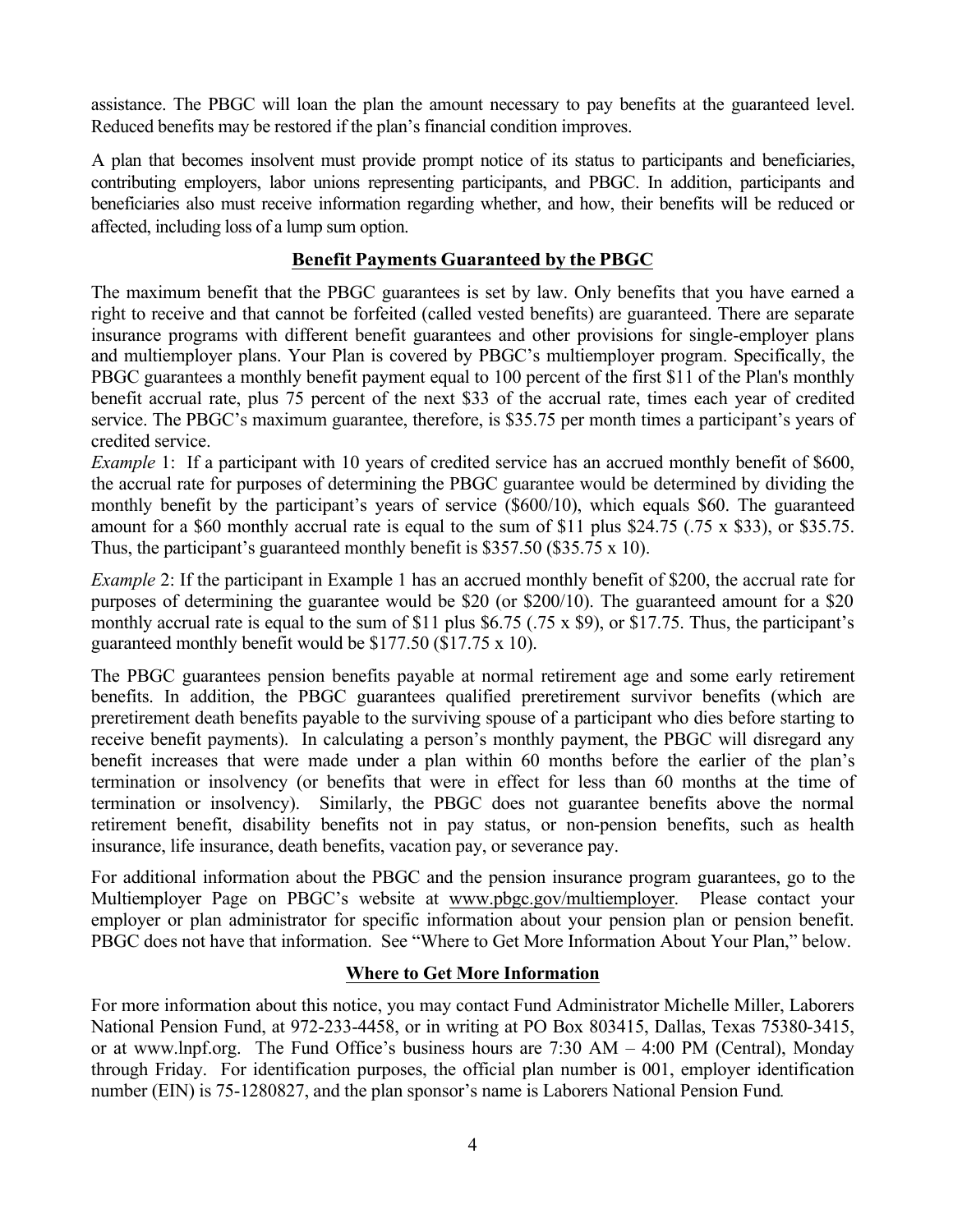assistance. The PBGC will loan the plan the amount necessary to pay benefits at the guaranteed level. Reduced benefits may be restored if the plan's financial condition improves.

A plan that becomes insolvent must provide prompt notice of its status to participants and beneficiaries, contributing employers, labor unions representing participants, and PBGC. In addition, participants and beneficiaries also must receive information regarding whether, and how, their benefits will be reduced or affected, including loss of a lump sum option.

## **Benefit Payments Guaranteed by the PBGC**

The maximum benefit that the PBGC guarantees is set by law. Only benefits that you have earned a right to receive and that cannot be forfeited (called vested benefits) are guaranteed. There are separate insurance programs with different benefit guarantees and other provisions for single-employer plans and multiemployer plans. Your Plan is covered by PBGC's multiemployer program. Specifically, the PBGC guarantees a monthly benefit payment equal to 100 percent of the first \$11 of the Plan's monthly benefit accrual rate, plus 75 percent of the next \$33 of the accrual rate, times each year of credited service. The PBGC's maximum guarantee, therefore, is \$35.75 per month times a participant's years of credited service.

*Example 1:* If a participant with 10 years of credited service has an accrued monthly benefit of \$600, the accrual rate for purposes of determining the PBGC guarantee would be determined by dividing the monthly benefit by the participant's years of service (\$600/10), which equals \$60. The guaranteed amount for a \$60 monthly accrual rate is equal to the sum of \$11 plus \$24.75 (.75 x \$33), or \$35.75. Thus, the participant's guaranteed monthly benefit is \$357.50 (\$35.75 x 10).

*Example 2*: If the participant in Example 1 has an accrued monthly benefit of \$200, the accrual rate for purposes of determining the guarantee would be \$20 (or \$200/10). The guaranteed amount for a \$20 monthly accrual rate is equal to the sum of \$11 plus \$6.75 (.75 x \$9), or \$17.75. Thus, the participant's guaranteed monthly benefit would be \$177.50 (\$17.75 x 10).

The PBGC guarantees pension benefits payable at normal retirement age and some early retirement benefits. In addition, the PBGC guarantees qualified preretirement survivor benefits (which are preretirement death benefits payable to the surviving spouse of a participant who dies before starting to receive benefit payments). In calculating a person's monthly payment, the PBGC will disregard any benefit increases that were made under a plan within 60 months before the earlier of the plan's termination or insolvency (or benefits that were in effect for less than 60 months at the time of termination or insolvency). Similarly, the PBGC does not guarantee benefits above the normal retirement benefit, disability benefits not in pay status, or non-pension benefits, such as health insurance, life insurance, death benefits, vacation pay, or severance pay.

For additional information about the PBGC and the pension insurance program guarantees, go to the Multiemployer Page on PBGC's website at www.pbgc.gov/multiemployer. Please contact your employer or plan administrator for specific information about your pension plan or pension benefit. PBGC does not have that information. See "Where to Get More Information About Your Plan," below.

## **Where to Get More Information**

For more information about this notice, you may contact Fund Administrator Michelle Miller, Laborers National Pension Fund, at 972-233-4458, or in writing at PO Box 803415, Dallas, Texas 75380-3415, or at www.lnpf.org. The Fund Office's business hours are 7:30 AM – 4:00 PM (Central), Monday through Friday. For identification purposes, the official plan number is 001, employer identification number (EIN) is 75-1280827, and the plan sponsor's name is Laborers National Pension Fund*.*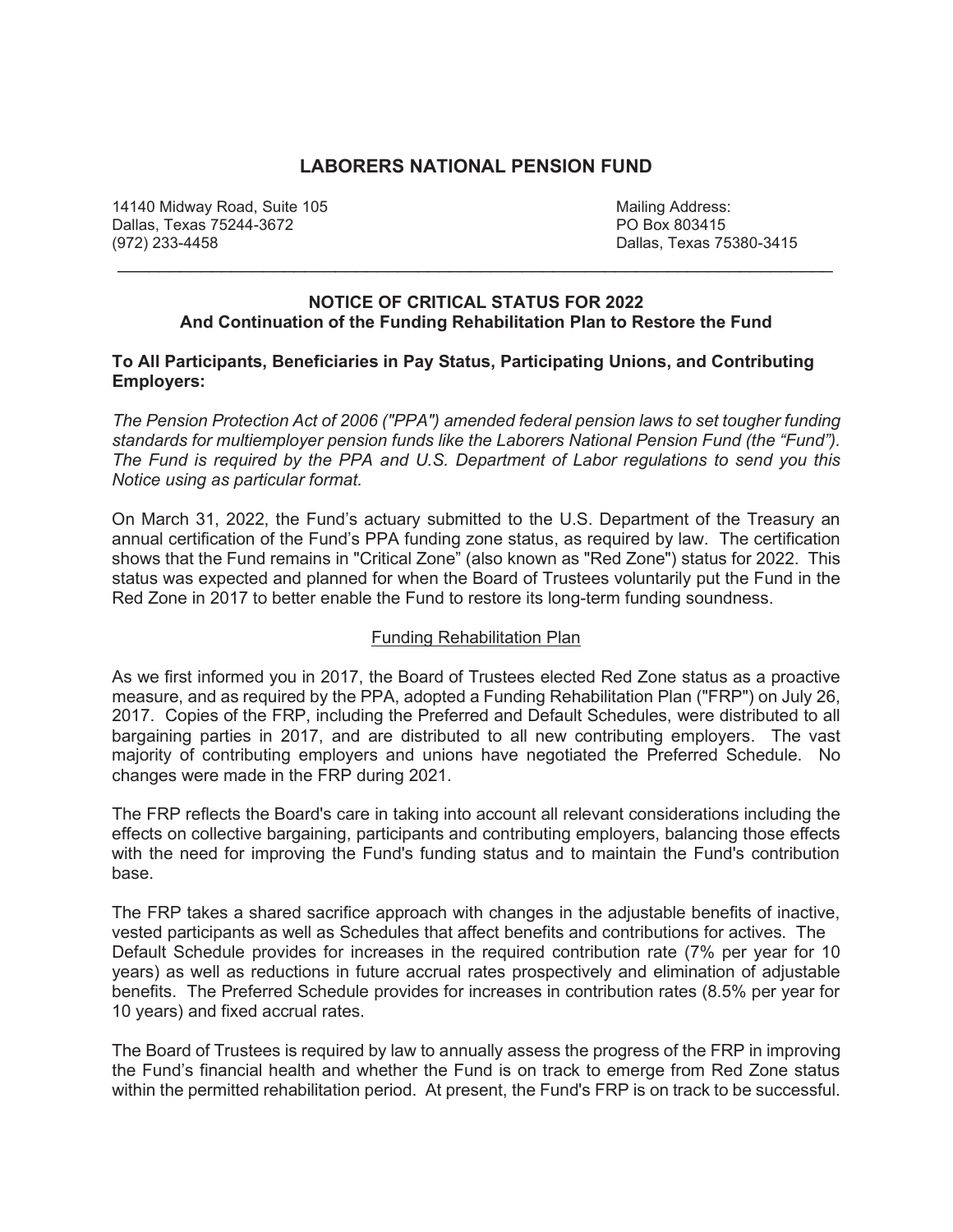## **LABORERS NATIONAL PENSION FUND**

14140 Midway Road, Suite 105 Mailing Address: Dallas, Texas 75244-3672 (972) 233-4458 Dallas, Texas 75380-3415

### **NOTICE OF CRITICAL STATUS FOR 2022 And Continuation of the Funding Rehabilitation Plan to Restore the Fund**

\_\_\_\_\_\_\_\_\_\_\_\_\_\_\_\_\_\_\_\_\_\_\_\_\_\_\_\_\_\_\_\_\_\_\_\_\_\_\_\_\_\_\_\_\_\_\_\_\_\_\_\_\_\_\_\_\_\_\_\_\_\_\_\_\_\_\_\_\_

### **To All Participants, Beneficiaries in Pay Status, Participating Unions, and Contributing Employers:**

*The Pension Protection Act of 2006 ("PPA") amended federal pension laws to set tougher funding standards for multiemployer pension funds like the Laborers National Pension Fund (the "Fund"). The Fund is required by the PPA and U.S. Department of Labor regulations to send you this Notice using as particular format.*

On March 31, 2022, the Fund's actuary submitted to the U.S. Department of the Treasury an annual certification of the Fund's PPA funding zone status, as required by law. The certification shows that the Fund remains in "Critical Zone" (also known as "Red Zone") status for 2022. This status was expected and planned for when the Board of Trustees voluntarily put the Fund in the Red Zone in 2017 to better enable the Fund to restore its long-term funding soundness.

## Funding Rehabilitation Plan

As we first informed you in 2017, the Board of Trustees elected Red Zone status as a proactive measure, and as required by the PPA, adopted a Funding Rehabilitation Plan ("FRP") on July 26, 2017. Copies of the FRP, including the Preferred and Default Schedules, were distributed to all bargaining parties in 2017, and are distributed to all new contributing employers. The vast majority of contributing employers and unions have negotiated the Preferred Schedule. No changes were made in the FRP during 2021.

The FRP reflects the Board's care in taking into account all relevant considerations including the effects on collective bargaining, participants and contributing employers, balancing those effects with the need for improving the Fund's funding status and to maintain the Fund's contribution base.

The FRP takes a shared sacrifice approach with changes in the adjustable benefits of inactive, vested participants as well as Schedules that affect benefits and contributions for actives. The Default Schedule provides for increases in the required contribution rate (7% per year for 10 years) as well as reductions in future accrual rates prospectively and elimination of adjustable benefits. The Preferred Schedule provides for increases in contribution rates (8.5% per year for 10 years) and fixed accrual rates.

The Board of Trustees is required by law to annually assess the progress of the FRP in improving the Fund's financial health and whether the Fund is on track to emerge from Red Zone status within the permitted rehabilitation period. At present, the Fund's FRP is on track to be successful.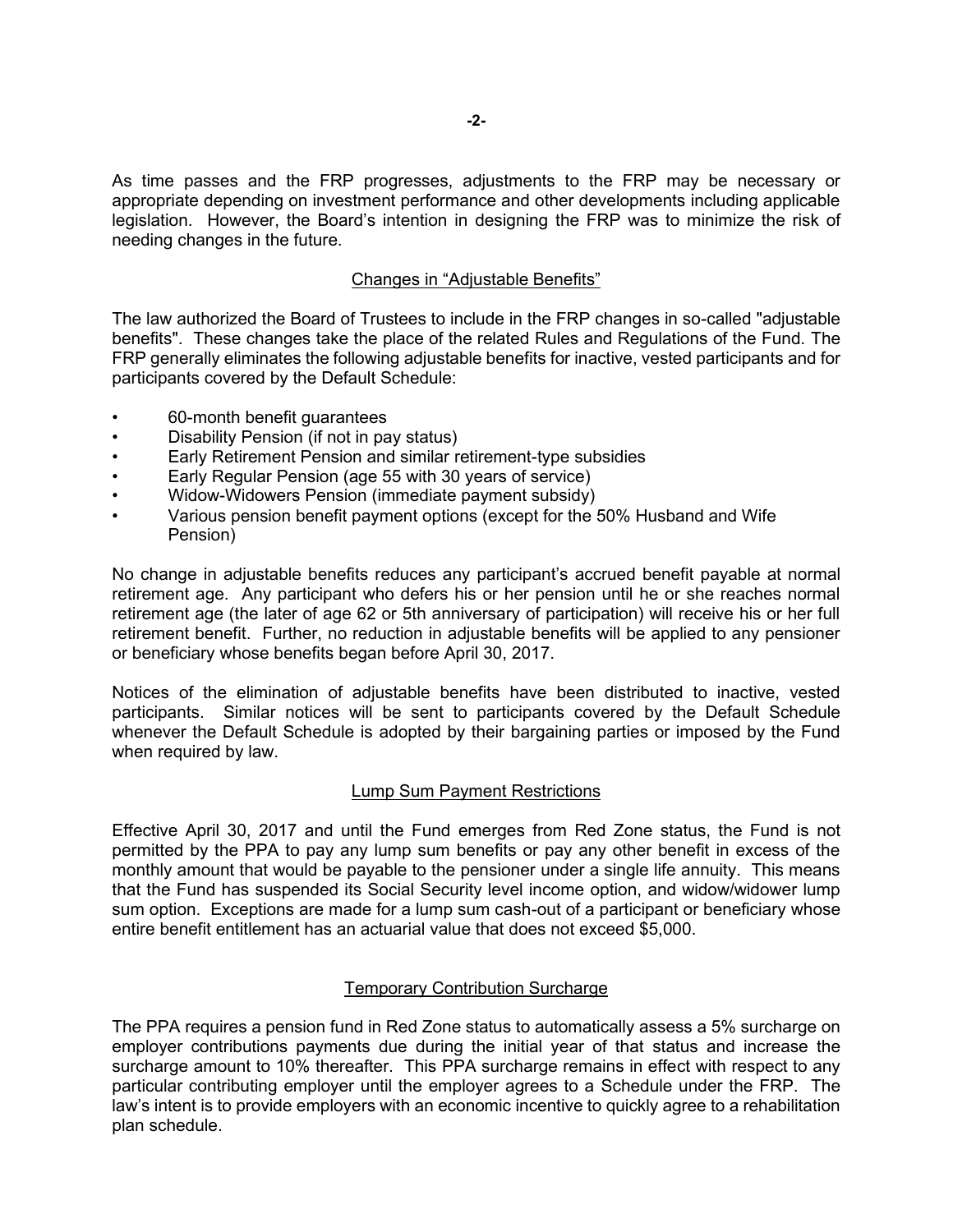As time passes and the FRP progresses, adjustments to the FRP may be necessary or appropriate depending on investment performance and other developments including applicable legislation. However, the Board's intention in designing the FRP was to minimize the risk of needing changes in the future.

### Changes in "Adjustable Benefits"

The law authorized the Board of Trustees to include in the FRP changes in so-called "adjustable benefits". These changes take the place of the related Rules and Regulations of the Fund. The FRP generally eliminates the following adjustable benefits for inactive, vested participants and for participants covered by the Default Schedule:

- 60-month benefit guarantees
- Disability Pension (if not in pay status)
- Early Retirement Pension and similar retirement-type subsidies
- Early Regular Pension (age 55 with 30 years of service)
- Widow-Widowers Pension (immediate payment subsidy)
- Various pension benefit payment options (except for the 50% Husband and Wife Pension)

No change in adjustable benefits reduces any participant's accrued benefit payable at normal retirement age. Any participant who defers his or her pension until he or she reaches normal retirement age (the later of age 62 or 5th anniversary of participation) will receive his or her full retirement benefit. Further, no reduction in adjustable benefits will be applied to any pensioner or beneficiary whose benefits began before April 30, 2017.

Notices of the elimination of adjustable benefits have been distributed to inactive, vested participants. Similar notices will be sent to participants covered by the Default Schedule whenever the Default Schedule is adopted by their bargaining parties or imposed by the Fund when required by law.

### Lump Sum Payment Restrictions

Effective April 30, 2017 and until the Fund emerges from Red Zone status, the Fund is not permitted by the PPA to pay any lump sum benefits or pay any other benefit in excess of the monthly amount that would be payable to the pensioner under a single life annuity. This means that the Fund has suspended its Social Security level income option, and widow/widower lump sum option. Exceptions are made for a lump sum cash-out of a participant or beneficiary whose entire benefit entitlement has an actuarial value that does not exceed \$5,000.

### Temporary Contribution Surcharge

The PPA requires a pension fund in Red Zone status to automatically assess a 5% surcharge on employer contributions payments due during the initial year of that status and increase the surcharge amount to 10% thereafter. This PPA surcharge remains in effect with respect to any particular contributing employer until the employer agrees to a Schedule under the FRP. The law's intent is to provide employers with an economic incentive to quickly agree to a rehabilitation plan schedule.